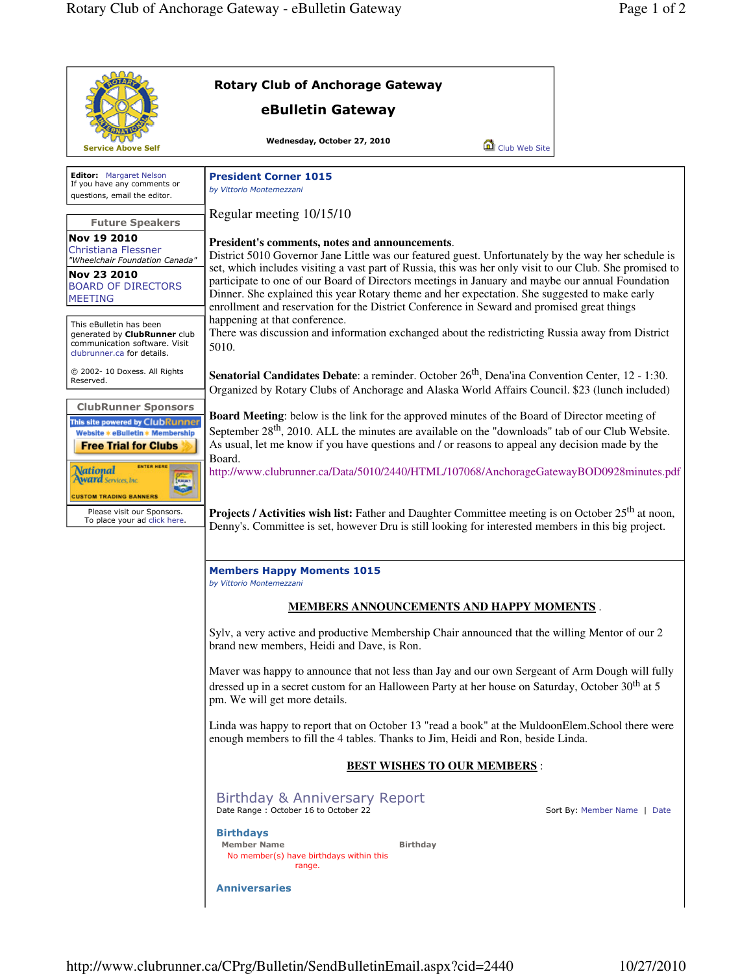|                                                                                                                                                                                                                           | <b>Rotary Club of Anchorage Gateway</b>                                                                                                                                                                                                                                                                                                                                                                                                                                                                                                                                                                                                                                                                            |                             |  |
|---------------------------------------------------------------------------------------------------------------------------------------------------------------------------------------------------------------------------|--------------------------------------------------------------------------------------------------------------------------------------------------------------------------------------------------------------------------------------------------------------------------------------------------------------------------------------------------------------------------------------------------------------------------------------------------------------------------------------------------------------------------------------------------------------------------------------------------------------------------------------------------------------------------------------------------------------------|-----------------------------|--|
|                                                                                                                                                                                                                           | eBulletin Gateway                                                                                                                                                                                                                                                                                                                                                                                                                                                                                                                                                                                                                                                                                                  |                             |  |
| <b>Service Above Self</b>                                                                                                                                                                                                 | Wednesday, October 27, 2010<br>Club Web Site                                                                                                                                                                                                                                                                                                                                                                                                                                                                                                                                                                                                                                                                       |                             |  |
| <b>Editor:</b> Margaret Nelson<br>If you have any comments or<br>questions, email the editor.                                                                                                                             | <b>President Corner 1015</b><br>by Vittorio Montemezzani                                                                                                                                                                                                                                                                                                                                                                                                                                                                                                                                                                                                                                                           |                             |  |
| <b>Future Speakers</b>                                                                                                                                                                                                    | Regular meeting 10/15/10                                                                                                                                                                                                                                                                                                                                                                                                                                                                                                                                                                                                                                                                                           |                             |  |
| Nov 19 2010<br>Christiana Flessner<br>"Wheelchair Foundation Canada"                                                                                                                                                      | President's comments, notes and announcements.<br>District 5010 Governor Jane Little was our featured guest. Unfortunately by the way her schedule is<br>set, which includes visiting a vast part of Russia, this was her only visit to our Club. She promised to<br>participate to one of our Board of Directors meetings in January and maybe our annual Foundation<br>Dinner. She explained this year Rotary theme and her expectation. She suggested to make early<br>enrollment and reservation for the District Conference in Seward and promised great things<br>happening at that conference.<br>There was discussion and information exchanged about the redistricting Russia away from District<br>5010. |                             |  |
| Nov 23 2010<br><b>BOARD OF DIRECTORS</b><br><b>MEETING</b>                                                                                                                                                                |                                                                                                                                                                                                                                                                                                                                                                                                                                                                                                                                                                                                                                                                                                                    |                             |  |
| This eBulletin has been<br>generated by <b>ClubRunner</b> club<br>communication software. Visit<br>clubrunner.ca for details.                                                                                             |                                                                                                                                                                                                                                                                                                                                                                                                                                                                                                                                                                                                                                                                                                                    |                             |  |
| © 2002- 10 Doxess. All Rights<br>Reserved.                                                                                                                                                                                | Senatorial Candidates Debate: a reminder. October 26 <sup>th</sup> , Dena'ina Convention Center, 12 - 1:30.<br>Organized by Rotary Clubs of Anchorage and Alaska World Affairs Council. \$23 (lunch included)                                                                                                                                                                                                                                                                                                                                                                                                                                                                                                      |                             |  |
| <b>ClubRunner Sponsors</b><br>This site powered by ClubRunner<br>Website * eBulletin * Membership<br><b>Free Trial for Clubs</b><br><b>ENTER HERE</b><br><b>National</b><br><b>Ward</b> Services, Inc.<br><b>EXALLACT</b> | <b>Board Meeting:</b> below is the link for the approved minutes of the Board of Director meeting of<br>September $28th$ , 2010. ALL the minutes are available on the "downloads" tab of our Club Website.<br>As usual, let me know if you have questions and / or reasons to appeal any decision made by the<br>Board.<br>http://www.clubrunner.ca/Data/5010/2440/HTML/107068/AnchorageGatewayBOD0928minutes.pdf<br>Projects / Activities wish list: Father and Daughter Committee meeting is on October 25 <sup>th</sup> at noon,<br>Denny's. Committee is set, however Dru is still looking for interested members in this big project.                                                                         |                             |  |
| <b>CUSTOM TRADING BANNERS</b><br>Please visit our Sponsors.<br>To place your ad click here.                                                                                                                               |                                                                                                                                                                                                                                                                                                                                                                                                                                                                                                                                                                                                                                                                                                                    |                             |  |
|                                                                                                                                                                                                                           | <b>Members Happy Moments 1015</b><br>by Vittorio Montemezzani                                                                                                                                                                                                                                                                                                                                                                                                                                                                                                                                                                                                                                                      |                             |  |
|                                                                                                                                                                                                                           | <b>MEMBERS ANNOUNCEMENTS AND HAPPY MOMENTS.</b>                                                                                                                                                                                                                                                                                                                                                                                                                                                                                                                                                                                                                                                                    |                             |  |
|                                                                                                                                                                                                                           | Sylv, a very active and productive Membership Chair announced that the willing Mentor of our 2<br>brand new members, Heidi and Dave, is Ron.<br>Maver was happy to announce that not less than Jay and our own Sergeant of Arm Dough will fully<br>dressed up in a secret custom for an Halloween Party at her house on Saturday, October 30 <sup>th</sup> at 5<br>pm. We will get more details.<br>Linda was happy to report that on October 13 "read a book" at the MuldoonElem.School there were<br>enough members to fill the 4 tables. Thanks to Jim, Heidi and Ron, beside Linda.<br><b>BEST WISHES TO OUR MEMBERS:</b>                                                                                      |                             |  |
|                                                                                                                                                                                                                           |                                                                                                                                                                                                                                                                                                                                                                                                                                                                                                                                                                                                                                                                                                                    |                             |  |
|                                                                                                                                                                                                                           |                                                                                                                                                                                                                                                                                                                                                                                                                                                                                                                                                                                                                                                                                                                    |                             |  |
|                                                                                                                                                                                                                           |                                                                                                                                                                                                                                                                                                                                                                                                                                                                                                                                                                                                                                                                                                                    |                             |  |
|                                                                                                                                                                                                                           | Birthday & Anniversary Report<br>Date Range: October 16 to October 22                                                                                                                                                                                                                                                                                                                                                                                                                                                                                                                                                                                                                                              | Sort By: Member Name   Date |  |
|                                                                                                                                                                                                                           | <b>Birthdays</b><br><b>Member Name</b><br><b>Birthday</b><br>No member(s) have birthdays within this<br>range.                                                                                                                                                                                                                                                                                                                                                                                                                                                                                                                                                                                                     |                             |  |
|                                                                                                                                                                                                                           | <b>Anniversaries</b>                                                                                                                                                                                                                                                                                                                                                                                                                                                                                                                                                                                                                                                                                               |                             |  |